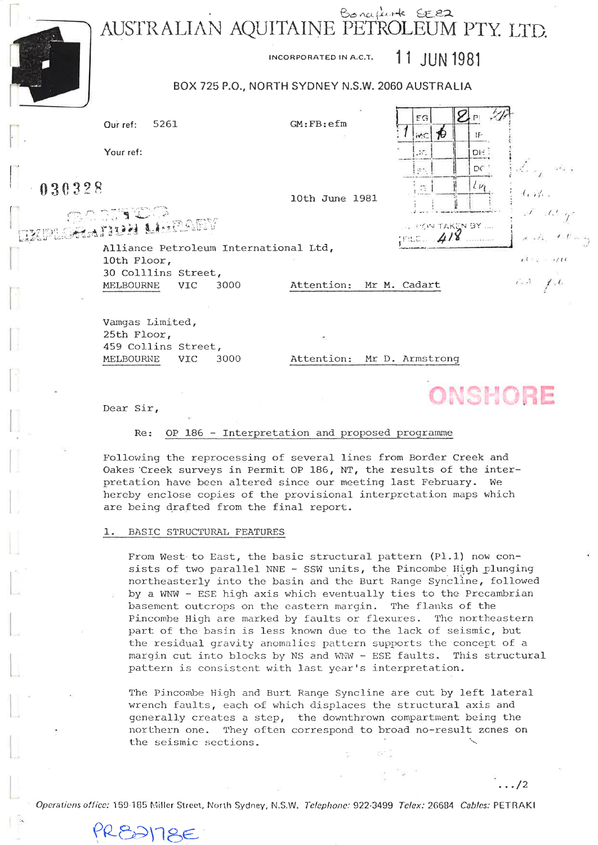AUSTRALIAN AQUITAINE PETROLEUM PTY. LTD.



INCORPORATED IN A.C.T.

## 11 JUN 1981

## BOX 725 P.O., NORTH SYDNEY N.S.W. 2060 AUSTRALIA

|                                         |                                |                             |                                       |                         | 76.             | EG                                                     | ⊠⊵                            |                                                                                                                                  |  |
|-----------------------------------------|--------------------------------|-----------------------------|---------------------------------------|-------------------------|-----------------|--------------------------------------------------------|-------------------------------|----------------------------------------------------------------------------------------------------------------------------------|--|
|                                         | Our ref:                       | 5261                        |                                       | GM:FB:efm               |                 | ъ<br>iv.C                                              | IF                            |                                                                                                                                  |  |
|                                         | Your ref:                      |                             |                                       |                         |                 | $\mathcal{M}_{\mathcal{A}}$                            | DH 1                          |                                                                                                                                  |  |
|                                         |                                |                             |                                       |                         |                 | i sti                                                  | $DC^{\ast}$                   | aka a                                                                                                                            |  |
| $-030328$                               |                                |                             |                                       | 10th June 1981          |                 | $\mathcal{D}_{\mathcal{R}}^{\mathcal{R}}$              | 1/1                           | $f$ if $g$                                                                                                                       |  |
| <b>DO DITICO</b><br>IZPLOSATION LIBRAEV |                                |                             |                                       |                         |                 |                                                        | $\mathbb{R}$ , money taken by | $x^F = G$ ge                                                                                                                     |  |
|                                         | 10th Floor,                    |                             | Alliance Petroleum International Ltd, |                         |                 | $FLL$ <sub><math>\approx</math> <math>4/8</math></sub> |                               | $\label{eq:reduced} \mathcal{L} \rightarrow \mathcal{E}_1, \quad \mathcal{L} \cdot \mathcal{E} := \epsilon_1$<br>$x^2 + x = x/t$ |  |
|                                         | MELBOURNE                      | 30 Colllins Street,<br>VIC. | 3000                                  | Attention: Mr M. Cadart |                 |                                                        |                               | $\epsilon \rightarrow -f, \ell$                                                                                                  |  |
|                                         |                                |                             |                                       |                         |                 |                                                        |                               |                                                                                                                                  |  |
|                                         | Vamgas Limited,<br>25th Floor, | 459 Collins Street,         |                                       |                         |                 |                                                        |                               |                                                                                                                                  |  |
|                                         | MELBOURNE                      | <b>VIC</b>                  | 3000                                  | Attention:              | Mr D. Armstrong |                                                        |                               |                                                                                                                                  |  |

|  | AMALIADE |  |  |
|--|----------|--|--|
|  | UNONUME  |  |  |

 $\ldots/2$ 

Dear Sir,

PRESSITEE

#### Re: OP 186 - Interpretation and proposed programme

Following the reprocessing of several lines from Border Creek and Oakes Creek surveys in Permit OP 186, NT, the results of the interpretation have been altered since our meeting last February. We hereby enclose copies of the provisional interpretation maps which are being drafted from the final report.

#### BASIC STRUCTURAL FEATURES 1.

From West to East, the basic structural pattern (Pl.1) now consists of two parallel NNE - SSW units, the Pincombe High plunging northeasterly into the basin and the Burt Range Syncline, followed by a WNW - ESE high axis which eventually ties to the Precambrian basement outcrops on the eastern margin. The flanks of the Pincombe High are marked by faults or flexures. The northeastern part of the basin is less known due to the lack of seismic, but the residual gravity anomalies pattern supports the concept of a margin cut into blocks by NS and WNW - ESE faults. This structural pattern is consistent with last year's interpretation.

The Pincombe High and Burt Range Syncline are cut by left lateral wrench faults, each of which displaces the structural axis and generally creates a step, the downthrown compartment being the northern one. They often correspond to broad no-result zones on the seismic sections.

Operations office: 169-185 Miller Street, North Sydney, N.S.W. Telephone: 922-3499 Telex: 26684 Cables: PETRAKI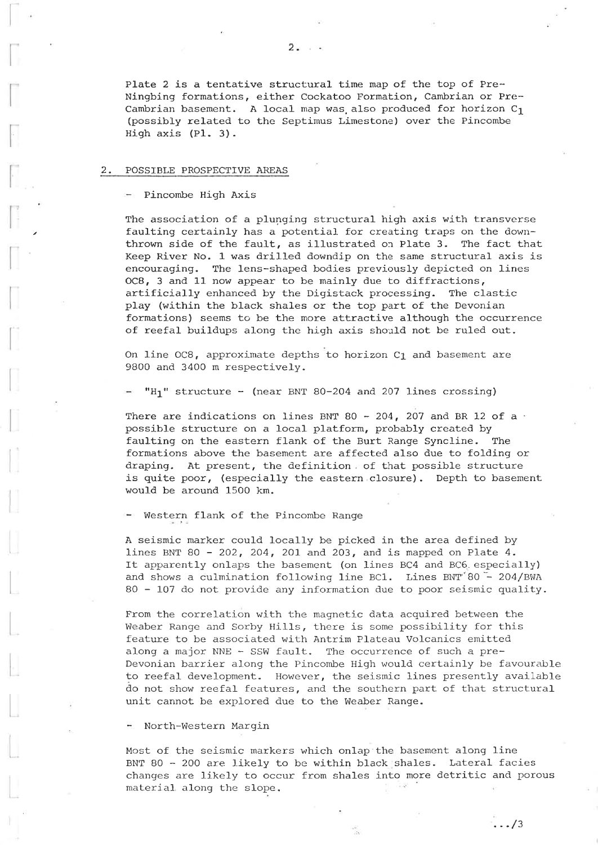Plate 2 is a tentative structural time map of the top of Pre-Ningbing formations, either Cockatoo Formation, Cambrian or Pre-Cambrian basement. A local map was also produced for horizon  $C_1$ (possibly related to the Septimus Limestone) over the Pincombe High axis (P1. 3).

#### 2. POSSIBLE PROSPECTIVE AREAS

- Pincombe High Axis

The association of a plunging structural high axis with transverse faulting certainly has a potential for creating traps on the downthrown side of the fault, as illustrated on Plate 3. The fact that Keep River No. 1 was drilled downdip on the same structural axis is encouraging. The lens-shaped bodies previously depicted on lines OC8, 3 and 11 now appear to be mainly due to diffractions, artificially enhanced by the Digistack processing. The clastic play (within the black shales or the top part of the Devonian formations) seems to be the more attractive although the occurrence of reefal buildups along the high axis should not be ruled out.

On line OC8, approximate depths to horizon C1 and basement are 9800 and 3400 m respectively.

 $H_1$ " structure - (near BNT 80-204 and 207 lines crossing

There are indications on lines BNT 80 - 204, 207 and BR 12 of a  $\cdot$ possible structure on a local platform, probably created by faulting on the eastern flank of the Burt Range Syncline. The formations above the basement are affected also due to folding or draping. At present, the definition. of that possible structure is quite poor, (especially the eastern closure). Depth to basement would be around 15OO km.

Western flank of the Pincombe Range

A seismic marker could locally be picked in the area defined by Iines BNT 80 - 2O2, 2O4, 2OI and 203, and is mapped on Plate 4. It apparently onlaps the basement (on lines BC4 and BC6. especially and shows a culmination following line BC1. Lines BNT 80 - 204/BWA 80 - 107 do not provide any information due to poor seismic quality.

From the correlation with the magnetic data acquired between the Weaber Range and Sorby Hills, there is some possibility for this feature to be associated with Antrim Plateau Volcanics emitted along a major NNE - SSW fault. The occurrence of such a pre-Devonian barrier along the Pincombe High would certainly be favourable to reefal development. However, the seismic lines presently available do not show reefal features, and. the southern part of that structural unit cannot be explored due to the Weaber Range.

North-Western Margin

Most of the seismic markers which onlap the basement along line BNT 80 - 2OO are Likely to be within black shales. Lateral facies changes are likely to occur from shales into more detritic and porous material along the slope.

.../3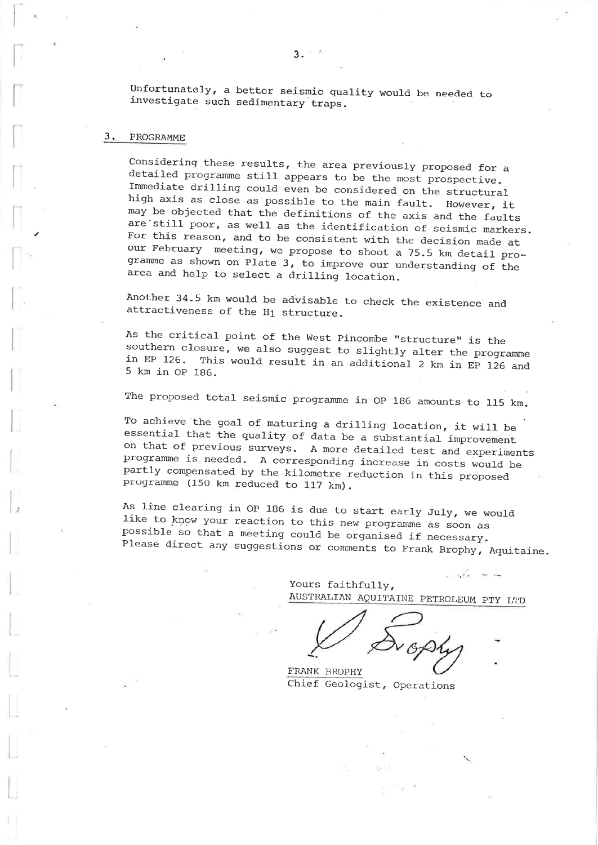Unfortunately, a better seismic quality would be needed to investigate such sedimentary traps.

#### 3. PROGRAMME

Considering these results, the area previously proposed for a detailed programme still appears to be the most prospective. Immediate drilling could even be considered on the structural high axis as close as possible to the main fault. However, it may be objected that the definitions of the axis and the faults are still poor, as well as the identification of seismic markers. For this reason, and to be consistent with the decision made at our February meeting, we propose to shoot a 75.5 km detail programme as shown on Plate 3, to improve our understanding of the area and help to select a drilling location.

Another 34.5 km would be advisable to check the existence and attractiveness of the  $H_1$  structure.

As the critical point of the West Pincombe "structure" is the southern closure, we also suggest to slightly alter the programme<br>in EP 126. This would result in an additional 2 km is FP 126. in EP 126. This would result in an additional 2 km in EP 126 and<br>5 km in OP 186.

The proposed total seismic programme in OP 186 amounts to 115 km.

To achieve the goal of maturing a drilling location, it will be essential that the quality of data be a substantial improvement on that of previous surveys. <sup>A</sup>more detailed test and experiments programme is needed. A corresponding increase in costs would be partly compensated by the kilometre reduction in this proposed progranme (15O km reduced to 117 km).

As line clearing in OP 186 is due to start early July, we would<br>like to know your reaction to this new programme as soon as possible so that a meeting could be organised if necessary. Please direct any suggestions or comments to Frank Brophy, Aquitaine.

> $\frac{1}{2}$  and  $\frac{1}{2}$  and  $\frac{1}{2}$  and  $\frac{1}{2}$  and  $\frac{1}{2}$ Yours faithfully, AUSTRALTAN AQUITATNE PETROLEUM PTY LTD

FRANK BROPHY Chief Geologist, Operations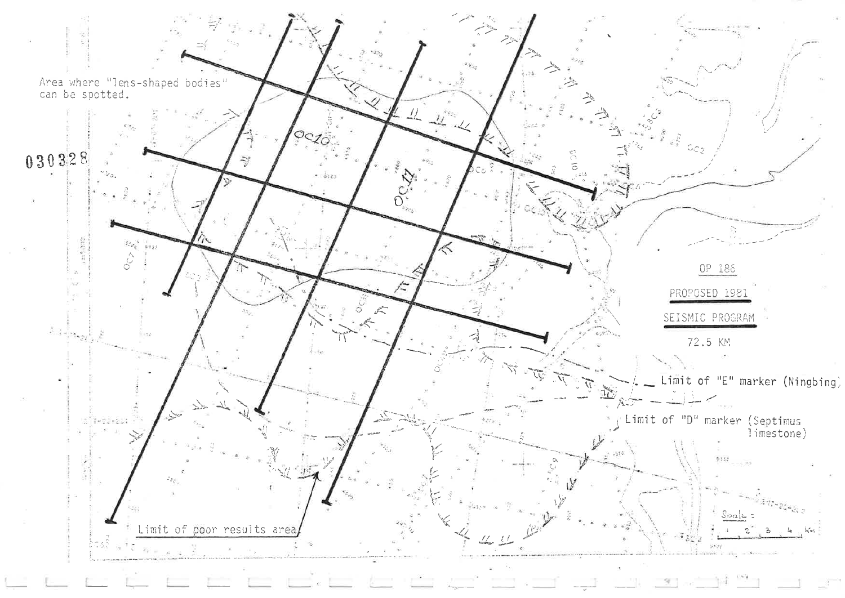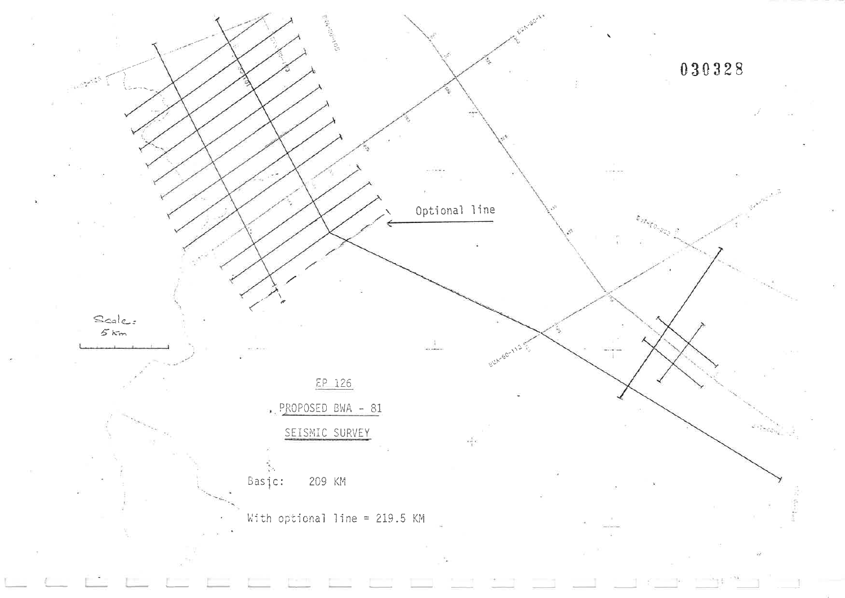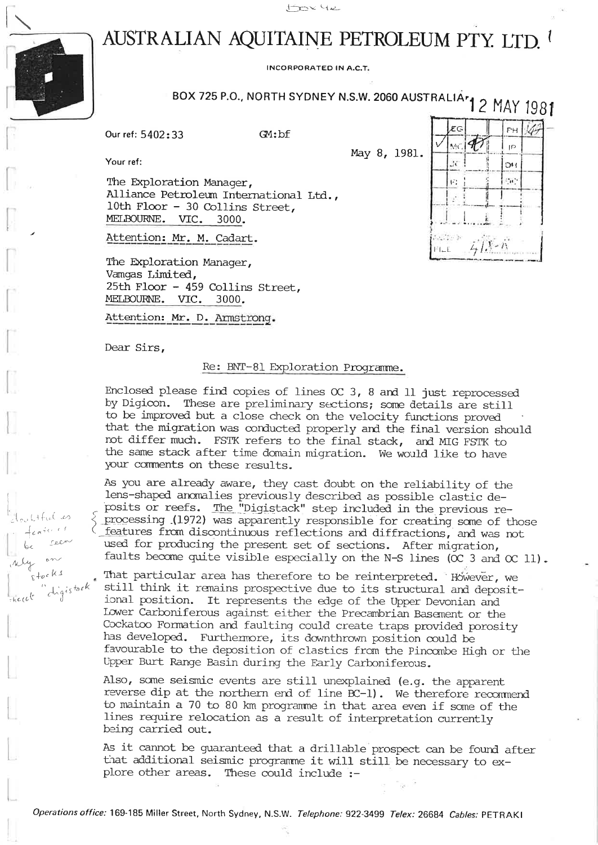

rulitful es

 $8 + 00 k 1$ 

Robert C.

seen

digistock

# AUSTRALIAN AQUITAINE PETROLEUM PTY. LTD.

**INCORPORATED IN A.C.T.** 

 $G$  :  $bf$ 

# BOX 725 P.O., NORTH SYDNEY N.S.W. 2060 AUSTRALIA<sup>r</sup> 2 MAY 1981

May 8, 1981.

 $47$ 

FH.

ΙĐ

 $\mathcal{D}$ 

 $\mathcal{C}_{\mathbf{H}}$  's

ÆG

2č

 $\left\langle \mathcal{L}\right\rangle _{c}$ 

**Auction**  $F1 - E$ 

91 MC.

Our ref: 5402:33

Your ref:

The Exploration Manager, Alliance Petroleum International Ltd., 10th Floor - 30 Collins Street, MELBOURNE. VIC. 3000.

Attention: Mr. M. Cadart.

The Exploration Manager, Vamgas Limited, 25th Floor - 459 Collins Street, MELBOURNE. VIC. 3000.

Attention: Mr. D. Armstrong.

Dear Sirs,

### Re: BNT-81 Exploration Programme.

Enclosed please find copies of lines  $OC$  3, 8 and 11 just reprocessed by Digicon. These are preliminary sections; some details are still to be improved but a close check on the velocity functions proved that the migration was conducted properly and the final version should not differ much. FSTK refers to the final stack, and MIG FSTK to the same stack after time domain migration. We would like to have your comments on these results.

As you are already aware, they cast doubt on the reliability of the lens-shaped anomalies previously described as possible clastic deposits or reefs. The "Digistack" step included in the previous re- $\Diamond$  processing (1972) was apparently responsible for creating some of those features from discontinuous reflections and diffractions, and was not used for producing the present set of sections. After migration, faults become quite visible especially on the N-S lines ( $OC$  3 and  $OC$  11).

That particular area has therefore to be reinterpreted. However, we still think it remains prospective due to its structural and depositional position. It represents the edge of the Upper Devonian and Lower Carboniferous against either the Precambrian Basement or the Cockatoo Formation and faulting could create traps provided porosity has developed. Furthemore, its downthrown position could be favourable to the deposition of clastics from the Pincombe High or the Upper Burt Range Basin during the Early Carboniferous.

Also, some seismic events are still unexplained (e.g. the apparent reverse dip at the northern end of line BC-1). We therefore recommend to maintain a 70 to 80 km programme in that area even if some of the lines require relocation as a result of interpretation currently being carried out.

As it cannot be guaranteed that a drillable prospect can be found after that additional seismic programme it will still be necessary to explore other areas. These could include :-